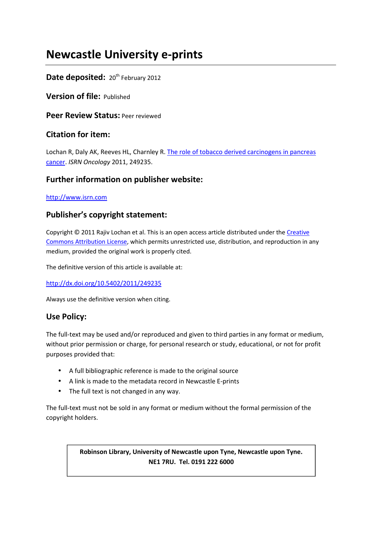# **Newcastle University e-prints**

## Date deposited: 20<sup>th</sup> February 2012

**Version of file:** Published

**Peer Review Status:** Peer reviewed

## **Citation for item:**

Lochan R, Daly AK, Reeves HL, Charnley R. The role of tobacco derived carcinogens in pancreas cancer. *ISRN Oncology* 2011, 249235.

## **Further information on publisher website:**

http://www.isrn.com

# **Publisher's copyright statement:**

Copyright © 2011 Rajiv Lochan et al. This is an open access article distributed under the Creative Commons Attribution License, which permits unrestricted use, distribution, and reproduction in any medium, provided the original work is properly cited.

The definitive version of this article is available at:

http://dx.doi.org/10.5402/2011/249235

Always use the definitive version when citing.

# **Use Policy:**

The full-text may be used and/or reproduced and given to third parties in any format or medium, without prior permission or charge, for personal research or study, educational, or not for profit purposes provided that:

- A full bibliographic reference is made to the original source
- A link is made to the metadata record in Newcastle E-prints
- The full text is not changed in any way.

The full-text must not be sold in any format or medium without the formal permission of the copyright holders.

## **Robinson Library, University of Newcastle upon Tyne, Newcastle upon Tyne. NE1 7RU. Tel. 0191 222 6000**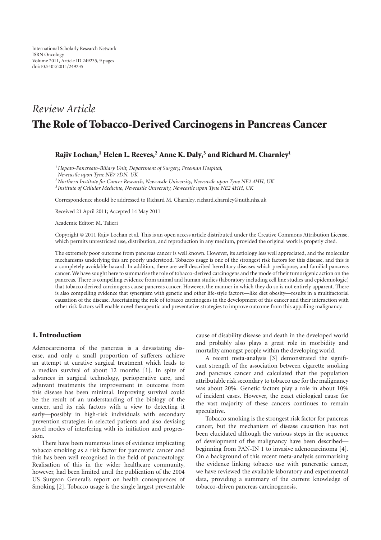# *Review Article* The Role of Tobacco-Derived Carcinogens in Pancreas Cancer

## Rajiv Lochan,<sup>1</sup> Helen L. Reeves,<sup>2</sup> Anne K. Daly,<sup>3</sup> and Richard M. Charnley<sup>1</sup>

*<sup>1</sup>Hepato-Pancreato-Biliary Unit, Department of Surgery, Freeman Hospital,*

*Newcastle upon Tyne NE7 7DN, UK*

*<sup>2</sup>Northern Institute for Cancer Research, Newcastle University, Newcastle upon Tyne NE2 4HH, UK*

*3 Institute of Cellular Medicine, Newcastle University, Newcastle upon Tyne NE2 4HH, UK*

Correspondence should be addressed to Richard M. Charnley, richard.charnley@nuth.nhs.uk

Received 21 April 2011; Accepted 14 May 2011

Academic Editor: M. Talieri

Copyright © 2011 Rajiv Lochan et al. This is an open access article distributed under the Creative Commons Attribution License, which permits unrestricted use, distribution, and reproduction in any medium, provided the original work is properly cited.

The extremely poor outcome from pancreas cancer is well known. However, its aetiology less well appreciated, and the molecular mechanisms underlying this are poorly understood. Tobacco usage is one of the strongest risk factors for this disease, and this is a completely avoidable hazard. In addition, there are well described hereditary diseases which predispose, and familial pancreas cancer. We have sought here to summarise the role of tobacco-derived carcinogens and the mode of their tumorigenic action on the pancreas. There is compelling evidence from animal and human studies (laboratory including cell line studies and epidemiologic) that tobacco derived carcinogens cause pancreas cancer. However, the manner in which they do so is not entirely apparent. There is also compelling evidence that synergism with genetic and other life-style factors—like diet obesity—results in a multifactorial causation of the disease. Ascertaining the role of tobacco carcinogens in the development of this cancer and their interaction with other risk factors will enable novel therapeutic and preventative strategies to improve outcome from this appalling malignancy.

### 1. Introduction

Adenocarcinoma of the pancreas is a devastating disease, and only a small proportion of sufferers achieve an attempt at curative surgical treatment which leads to a median survival of about 12 months [1]. In spite of advances in surgical technology, perioperative care, and adjuvant treatments the improvement in outcome from this disease has been minimal. Improving survival could be the result of an understanding of the biology of the cancer, and its risk factors with a view to detecting it early—possibly in high-risk individuals with secondary prevention strategies in selected patients and also devising novel modes of interfering with its initiation and progression.

There have been numerous lines of evidence implicating tobacco smoking as a risk factor for pancreatic cancer and this has been well recognised in the field of pancreatology. Realisation of this in the wider healthcare community, however, had been limited until the publication of the 2004 US Surgeon General's report on health consequences of Smoking [2]. Tobacco usage is the single largest preventable cause of disability disease and death in the developed world and probably also plays a great role in morbidity and mortality amongst people within the developing world.

A recent meta-analysis [3] demonstrated the significant strength of the association between cigarette smoking and pancreas cancer and calculated that the population attributable risk secondary to tobacco use for the malignancy was about 20%. Genetic factors play a role in about 10% of incident cases. However, the exact etiological cause for the vast majority of these cancers continues to remain speculative.

Tobacco smoking is the strongest risk factor for pancreas cancer, but the mechanism of disease causation has not been elucidated although the various steps in the sequence of development of the malignancy have been described beginning from PAN-IN 1 to invasive adenocarcinoma [4]. On a background of this recent meta-analysis summarising the evidence linking tobacco use with pancreatic cancer, we have reviewed the available laboratory and experimental data, providing a summary of the current knowledge of tobacco-driven pancreas carcinogenesis.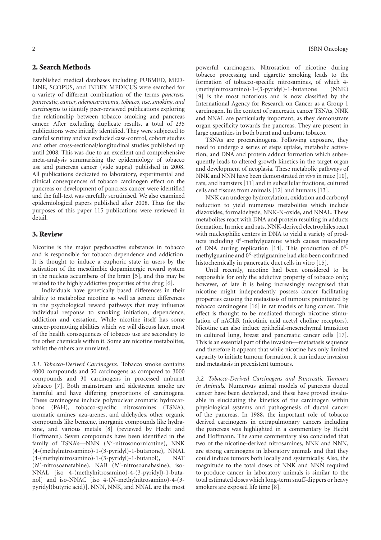## 2. Search Methods

Established medical databases including PUBMED, MED-LINE, SCOPUS, and INDEX MEDICUS were searched for a variety of different combination of the terms *pancreas, pancreatic, cancer, adenocarcinoma, tobacco, use, smoking, and carcinogens* to identify peer-reviewed publications exploring the relationship between tobacco smoking and pancreas cancer. After excluding duplicate results, a total of 235 publications were initially identified. They were subjected to careful scrutiny and we excluded case-control, cohort studies and other cross-sectional/longitudinal studies published up until 2008. This was due to an excellent and comprehensive meta-analysis summarising the epidemiology of tobacco use and pancreas cancer (vide supra) published in 2008. All publications dedicated to laboratory, experimental and clinical consequences of tobacco carcinogen effect on the pancreas or development of pancreas cancer were identified and the full-text was carefully scrutinised. We also examined epidemiological papers published after 2008. Thus for the purposes of this paper 115 publications were reviewed in detail.

### 3. Review

Nicotine is the major psychoactive substance in tobacco and is responsible for tobacco dependence and addiction. It is thought to induce a euphoric state in users by the activation of the mesolimbic dopaminergic reward system in the nucleus accumbens of the brain [5], and this may be related to the highly addictive properties of the drug [6].

Individuals have genetically based differences in their ability to metabolize nicotine as well as genetic differences in the psychological reward pathways that may influence individual response to smoking initiation, dependence, addiction and cessation. While nicotine itself has some cancer-promoting abilities which we will discuss later, most of the health consequences of tobacco use are secondary to the other chemicals within it. Some are nicotine metabolites, whilst the others are unrelated.

*3.1. Tobacco-Derived Carcinogens.* Tobacco smoke contains 4000 compounds and 50 carcinogens as compared to 3000 compounds and 30 carcinogens in processed unburnt tobacco [7]. Both mainstream and sidestream smoke are harmful and have differing proportions of carcinogens. These carcinogens include polynuclear aromatic hydrocarbons (PAH), tobacco-specific nitrosamines (TSNA), aromatic amines, aza-arenes, and aldehydes, other organic compounds like benzene, inorganic compounds like hydrazine, and various metals [8] (reviewed by Hecht and Hoffmann). Seven compounds have been identified in the family of TSNA's-NNN (N'-nitrosonornicotine), NNK (4-(methylnitrosamino)-1-(3-pyridyl)-1-butanone), NNAL (4-(methylnitrosamino)-1-(3-pyridyl)-1-butanol), NAT (*N*′ -nitrosoanatabine), NAB (*N*′ -nitrosoanabasine), iso-NNAL [iso 4-(methylnitrosamino)-4-(3-pyridyl)-1-butanol] and iso-NNAC [iso 4-(*N*-methylnitrosamino)-4-(3 pyridyl)butyric acid)]. NNN, NNK, and NNAL are the most

powerful carcinogens. Nitrosation of nicotine during tobacco processing and cigarette smoking leads to the formation of tobacco-specific nitrosamines, of which 4- (methylnitrosamino)-1-(3-pyridyl)-1-butanone (NNK) [9] is the most notorious and is now classified by the International Agency for Research on Cancer as a Group 1 carcinogen. In the context of pancreatic cancer TSNAs, NNK and NNAL are particularly important, as they demonstrate organ specificity towards the pancreas. They are present in large quantities in both burnt and unburnt tobacco.

TSNAs are procarcinogens. Following exposure, they need to undergo a series of steps uptake, metabolic activation, and DNA and protein adduct formation which subsequently leads to altered growth kinetics in the target organ and development of neoplasia. These metabolic pathways of NNK and NNN have been demonstrated *in vivo* in mice [10], rats, and hamsters [11] and in subcellular fractions, cultured cells and tissues from animals [12] and humans [13].

NNK can undergo hydroxylation, oxidation and carbonyl reduction to yield numerous metabolites which include diazoxides, formaldehyde, NNK-N-oxide, and NNAL. These metabolites react with DNA and protein resulting in adducts formation. In mice and rats, NNK-derived electrophiles react with nucleophilic centers in DNA to yield a variety of products including 0<sup>6</sup> -methylguanine which causes miscoding of DNA during replication [14]. This production of 0<sup>6</sup>methylguanine and 0<sup>6</sup>-ethylguanine had also been confirmed histochemically in pancreatic duct cells in vitro [15].

Until recently, nicotine had been considered to be responsible for only the addictive property of tobacco only; however, of late it is being increasingly recognised that nicotine might independently possess cancer facilitating properties causing the metastasis of tumours preinitiated by tobacco carcinogens [16] in rat models of lung cancer. This effect is thought to be mediated through nicotine stimulation of nAChR (nicotinic acid acetyl choline receptors). Nicotine can also induce epithelial-mesenchymal transition in cultured lung, breast and pancreatic cancer cells [17]. This is an essential part of the invasion—metastasis sequence and therefore it appears that while nicotine has only limited capacity to initiate tumour formation, it can induce invasion and metastasis in preexistent tumours.

*3.2. Tobacco-Derived Carcinogens and Pancreatic Tumours in Animals.* Numerous animal models of pancreas ductal cancer have been developed, and these have proved invaluable in elucidating the kinetics of the carcinogen within physiological systems and pathogenesis of ductal cancer of the pancreas. In 1988, the important role of tobacco derived carcinogens in extrapulmonary cancers including the pancreas was highlighted in a commentary by Hecht and Hoffmann. The same commentary also concluded that two of the nicotine-derived nitrosamines, NNK and NNN, are strong carcinogens in laboratory animals and that they could induce tumors both locally and systemically. Also, the magnitude to the total doses of NNK and NNN required to produce cancer in laboratory animals is similar to the total estimated doses which long-term snuff-dippers or heavy smokers are exposed life time [8].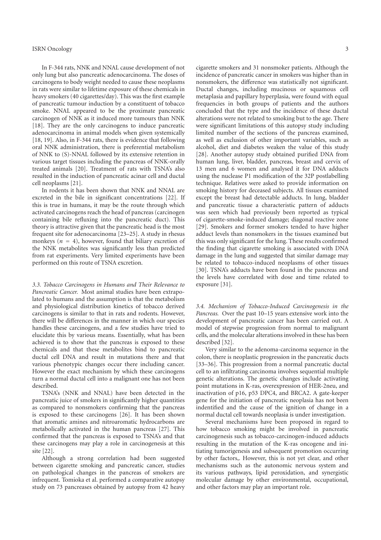In F-344 rats, NNK and NNAL cause development of not only lung but also pancreatic adenocarcinoma. The doses of carcinogens to body weight needed to cause these neoplasms in rats were similar to lifetime exposure of these chemicals in heavy smokers (40 cigarettes/day). This was the first example of pancreatic tumour induction by a constituent of tobacco smoke. NNAL appeared to be the proximate pancreatic carcinogen of NNK as it induced more tumours than NNK [18]. They are the only carcinogens to induce pancreatic adenocarcinoma in animal models when given systemically [18, 19]. Also, in F-344 rats, there is evidence that following oral NNK administration, there is preferential metabolism of NNK to (S)-NNAL followed by its extensive retention in various target tissues including the pancreas of NNK-orally treated animals [20]. Treatment of rats with TSNA's also resulted in the induction of pancreatic acinar cell and ductal cell neoplasms [21].

In rodents it has been shown that NNK and NNAL are excreted in the bile in significant concentrations [22]. If this is true in humans, it may be the route through which activated carcinogens reach the head of pancreas (carcinogen containing bile refluxing into the pancreatic duct). This theory is attractive given that the pancreatic head is the most frequent site for adenocarcinoma [23–25]. A study in rhesus monkeys  $(n = 4)$ , however, found that biliary excretion of the NNK metabolites was significantly less than predicted from rat experiments. Very limited experiments have been performed on this route of TSNA excretion.

*3.3. Tobacco Carcinogens in Humans and Their Relevance to Pancreatic Cancer.* Most animal studies have been extrapolated to humans and the assumption is that the metabolism and physiological distribution kinetics of tobacco derived carcinogens is similar to that in rats and rodents. However, there will be differences in the manner in which our species handles these carcinogens, and a few studies have tried to elucidate this by various means. Essentially, what has been achieved is to show that the pancreas is exposed to these chemicals and that these metabolites bind to pancreatic ductal cell DNA and result in mutations there and that various phenotypic changes occur there including cancer. However the exact mechanism by which these carcinogens turn a normal ductal cell into a malignant one has not been described.

TSNA's (NNK and NNAL) have been detected in the pancreatic juice of smokers in significantly higher quantities as compared to nonsmokers confirming that the pancreas is exposed to these carcinogens [26]. It has been shown that aromatic amines and nitroaromatic hydrocarbons are metabolically activated in the human pancreas [27]. This confirmed that the pancreas is exposed to TSNA's and that these carcinogens may play a role in carcinogenesis at this site [22].

Although a strong correlation had been suggested between cigarette smoking and pancreatic cancer, studies on pathological changes in the pancreas of smokers are infrequent. Tomioka et al. performed a comparative autopsy study on 73 pancreases obtained by autopsy from 42 heavy

cigarette smokers and 31 nonsmoker patients. Although the incidence of pancreatic cancer in smokers was higher than in nonsmokers, the difference was statistically not significant. Ductal changes, including mucinous or squamous cell metaplasia and papillary hyperplasia, were found with equal frequencies in both groups of patients and the authors concluded that the type and the incidence of these ductal alterations were not related to smoking but to the age. There were significant limitations of this autopsy study including limited number of the sections of the pancreas examined, as well as exclusion of other important variables, such as alcohol, diet and diabetes weaken the value of this study [28]. Another autopsy study obtained purified DNA from human lung, liver, bladder, pancreas, breast and cervix of 13 men and 6 women and analysed it for DNA adducts using the nuclease P1 modification of the 32P postlabelling technique. Relatives were asked to provide information on smoking history for deceased subjects. All tissues examined except the breast had detectable adducts. In lung, bladder and pancreatic tissue a characteristic pattern of adducts was seen which had previously been reported as typical of cigarette-smoke-induced damage; diagonal reactive zone [29]. Smokers and former smokers tended to have higher adduct levels than nonsmokers in the tissues examined but this was only significant for the lung. These results confirmed the finding that cigarette smoking is associated with DNA damage in the lung and suggested that similar damage may be related to tobacco-induced neoplasms of other tissues [30]. TSNA's adducts have been found in the pancreas and the levels have correlated with dose and time related to exposure [31].

*3.4. Mechanism of Tobacco-Induced Carcinogenesis in the Pancreas.* Over the past 10–15 years extensive work into the development of pancreatic cancer has been carried out. A model of stepwise progression from normal to malignant cells, and the molecular alterations involved in these has been described [32].

Very similar to the adenoma-carcinoma sequence in the colon, there is neoplastic progression in the pancreatic ducts [33–36]. This progression from a normal pancreatic ductal cell to an infiltrating carcinoma involves sequential multiple genetic alterations. The genetic changes include activating point mutations in K-ras, overexpression of HER-2neu, and inactivation of p16, p53 DPC4, and BRCA2. A gate-keeper gene for the initiation of pancreatic neoplasia has not been indentified and the cause of the ignition of change in a normal ductal cell towards neoplasia is under investigation.

Several mechanisms have been proposed in regard to how tobacco smoking might be involved in pancreatic carcinogenesis such as tobacco-carcinogen-induced adducts resulting in the mutation of the K-ras oncogene and initiating tumorigenesis and subsequent promotion occurring by other factors,. However, this is not yet clear, and other mechanisms such as the autonomic nervous system and its various pathways, lipid peroxidation, and synergistic molecular damage by other environmental, occupational, and other factors may play an important role.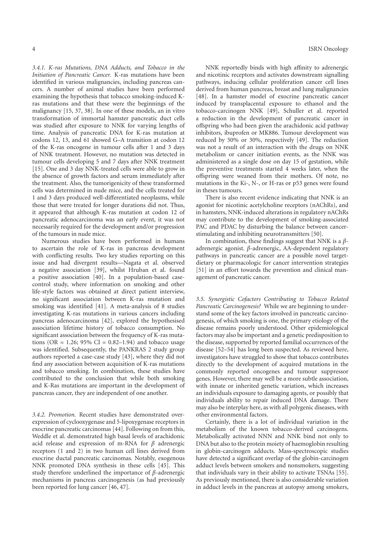*3.4.1. K-ras Mutations, DNA Adducts, and Tobacco in the Initiation of Pancreatic Cancer.* K-ras mutations have been identified in various malignancies, including pancreas cancers. A number of animal studies have been performed examining the hypothesis that tobacco smoking-induced Kras mutations and that these were the beginnings of the malignancy [15, 37, 38]. In one of these models, an in vitro transformation of immortal hamster pancreatic duct cells was studied after exposure to NNK for varying lengths of time. Analysis of pancreatic DNA for K-ras mutation at codons 12, 13, and 61 showed G–A transition at codon 12 of the K-ras oncogene in tumour cells after 1 and 3 days of NNK treatment. However, no mutation was detected in tumour cells developing 5 and 7 days after NNK treatment [15]. One and 3 day NNK-treated cells were able to grow in the absence of growth factors and serum immediately after the treatment. Also, the tumorigenicity of these transformed cells was determined in nude mice, and the cells treated for 1 and 3 days produced well-differentiated neoplasms, while those that were treated for longer durations did not. Thus, it appeared that although K-ras mutation at codon 12 of pancreatic adenocarcinoma was an early event, it was not necessarily required for the development and/or progression of the tumours in nude mice.

Numerous studies have been performed in humans to ascertain the role of K-ras in pancreas development with conflicting results. Two key studies reporting on this issue and had divergent results—Nagata et al. observed a negative association [39], whilst Hruban et al. found a positive association [40]. In a population-based casecontrol study, where information on smoking and other life-style factors was obtained at direct patient interview, no significant association between K-ras mutation and smoking was identified [41]. A meta-analysis of 8 studies investigating K-ras mutations in various cancers including pancreas adenocarcinoma [42], explored the hypothesised association lifetime history of tobacco consumption. No significant association between the frequency of K-ras mutations (OR = 1.26; 95% CI =  $0.82-1.94$ ) and tobacco usage was identified. Subsequently, the PANKRAS 2 study group authors reported a case-case study [43], where they did not find any association between acquisition of K-ras mutations and tobacco smoking. In combination, these studies have contributed to the conclusion that while both smoking and K-Ras mutations are important in the development of pancreas cancer, they are independent of one another.

*3.4.2. Promotion.* Recent studies have demonstrated overexpression of cyclooxygenase and 5-lipoxygenase receptors in exocrine pancreatic carcinomas [44]. Following on from this, Weddle et al. demonstrated high basal levels of arachidonic acid release and expression of m-RNA for *β* adrenergic receptors (1 and 2) in two human cell lines derived from exocrine ductal pancreatic carcinomas. Notably, exogenous NNK promoted DNA synthesis in these cells [45]. This study therefore underlined the importance of *β*-adrenergic mechanisms in pancreas carcinogenesis (as had previously been reported for lung cancer [46, 47].

NNK reportedly binds with high affinity to adrenergic and nicotinic receptors and activates downstream signalling pathways, inducing cellular proliferation cancer cell lines derived from human pancreas, breast and lung malignancies [48]. In a hamster model of exocrine pancreatic cancer induced by transplacental exposure to ethanol and the tobacco-carcinogen NNK [49], Schuller et al. reported a reduction in the development of pancreatic cancer in offspring who had been given the arachidonic acid pathway inhibitors, ibuprofen or MK886. Tumour development was reduced by 50% or 30%, respectively [49]. The reduction was not a result of an interaction with the drugs on NNK metabolism or cancer initiation events, as the NNK was administered as a single dose on day 15 of gestation, while the preventive treatments started 4 weeks later, when the offspring were weaned from their mothers. Of note, no mutations in the Ki-, N-, or H-ras or p53 genes were found in theses tumours.

There is also recent evidence indicating that NNK is an agonist for nicotinic acetylcholine receptors (nAChRs), and in hamsters, NNK-induced alterations in regulatory nAChRs may contribute to the development of smoking-associated PAC and PDAC by disturbing the balance between cancerstimulating and inhibiting neurotransmitters [50].

In combination, these findings suggest that NNK is a *β*adrenergic agonist. *β*-adrenergic, AA-dependent regulatory pathways in pancreatic cancer are a possible novel targetdietary or pharmacologic for cancer intervention strategies [51] in an effort towards the prevention and clinical management of pancreatic cancer.

*3.5. Synergistic Cofactors Contributing to Tobacco Related Pancreatic Carcinogenesis?* While we are beginning to understand some of the key factors involved in pancreatic carcinogenesis, of which smoking is one, the primary etiology of the disease remains poorly understood. Other epidemiological factors may also be important and a genetic predisposition to the disease, supported by reported familial occurrences of the disease [52–54] has long been suspected. As reviewed here, investigators have struggled to show that tobacco contributes directly to the development of acquired mutations in the commonly reported oncogenes and tumour suppressor genes. However, there may well be a more subtle association, with innate or inherited genetic variation, which increases an individuals exposure to damaging agents, or possibly that individuals ability to repair induced DNA damage. There may also be interplay here, as with all polygenic diseases, with other environmental factors.

Certainly, there is a lot of individual variation in the metabolism of the known tobacco-derived carcinogens. Metabolically activated NNN and NNK bind not only to DNA but also to the protein moiety of haemoglobin resulting in globin-carcinogen adducts. Mass-spectroscopic studies have detected a significant overlap of the globin-carcinogen adduct levels between smokers and nonsmokers, suggesting that individuals vary in their ability to activate TSNAs [55]. As previously mentioned, there is also considerable variation in adduct levels in the pancreas at autopsy among smokers,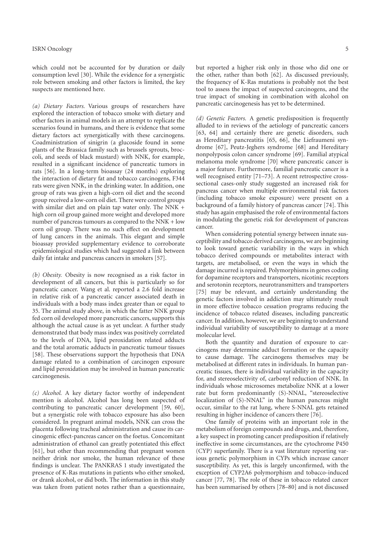which could not be accounted for by duration or daily consumption level [30]. While the evidence for a synergistic role between smoking and other factors is limited, the key suspects are mentioned here.

*(a) Dietary Factors.* Various groups of researchers have explored the interaction of tobacco smoke with dietary and other factors in animal models in an attempt to replicate the scenarios found in humans, and there is evidence that some dietary factors act synergistically with these carcinogens. Coadministration of sinigrin (a glucoside found in some plants of the Brassica family such as brussels sprouts, broccoli, and seeds of black mustard) with NNK, for example, resulted in a significant incidence of pancreatic tumors in rats [56]. In a long-term bioassay (24 months) exploring the interaction of dietary fat and tobacco carcinogens, F344 rats were given NNK, in the drinking water. In addition, one group of rats was given a high-corn oil diet and the second group received a low-corn oil diet. There were control groups with similar diet and on plain tap water only. The NNK + high corn oil group gained more weight and developed more number of pancreas tumours as compared to the NNK + low corn oil group. There was no such effect on development of lung cancers in the animals. This elegant and simple bioassay provided supplementary evidence to corroborate epidemiological studies which had suggested a link between daily fat intake and pancreas cancers in smokers [57].

*(b) Obesity.* Obesity is now recognised as a risk factor in development of all cancers, but this is particularly so for pancreatic cancer. Wang et al. reported a 2.6 fold increase in relative risk of a pancreatic cancer associated death in individuals with a body mass index greater than or equal to 35. The animal study above, in which the fatter NNK group fed corn oil developed more pancreatic cancers, supports this although the actual cause is as yet unclear. A further study demonstrated that body mass index was positively correlated to the levels of DNA, lipid peroxidation related adducts and the total aromatic adducts in pancreatic tumour tissues [58]. These observations support the hypothesis that DNA damage related to a combination of carcinogen exposure and lipid peroxidation may be involved in human pancreatic carcinogenesis.

*(c) Alcohol.* A key dietary factor worthy of independent mention is alcohol. Alcohol has long been suspected of contributing to pancreatic cancer development [59, 60], but a synergistic role with tobacco exposure has also been considered. In pregnant animal models, NNK can cross the placenta following tracheal administration and cause its carcinogenic effect-pancreas cancer on the foetus. Concomitant administration of ethanol can greatly potentiated this effect [61], but other than recommending that pregnant women neither drink nor smoke, the human relevance of these findings is unclear. The PANKRAS 1 study investigated the presence of K-Ras mutations in patients who either smoked, or drank alcohol, or did both. The information in this study was taken from patient notes rather than a questionnaire,

but reported a higher risk only in those who did one or the other, rather than both [62]. As discussed previously, the frequency of K-Ras mutations is probably not the best tool to assess the impact of suspected carcinogens, and the true impact of smoking in combination with alcohol on pancreatic carcinogenesis has yet to be determined.

*(d) Genetic Factors.* A genetic predisposition is frequently alluded to in reviews of the aetiology of pancreatic cancers [63, 64] and certainly there are genetic disorders, such as Hereditary pancreatitis [65, 66], the Liefraumeni syndrome [67], Peutz-Jeghers syndrome [68] and Hereditary nonpolyposis colon cancer syndrome [69]. Familial atypical melanoma mole syndrome [70] where pancreatic cancer is a major feature. Furthermore, familial pancreatic cancer is a well recognised entity [71–73]. A recent retrospective crosssectional cases-only study suggested an increased risk for pancreas cancer when multiple environmental risk factors (including tobacco smoke exposure) were present on a background of a family history of pancreas cancer [74]. This study has again emphasised the role of environmental factors in modulating the genetic risk for development of pancreas cancer.

When considering potential synergy between innate susceptibility and tobacco derived carcinogens, we are beginning to look toward genetic variability in the ways in which tobacco derived compounds or metabolites interact with targets, are metabolised, or even the ways in which the damage incurred is repaired. Polymorphisms in genes coding for dopamine receptors and transporters, nicotinic receptors and serotonin receptors, neurotransmitters and transporters [75] may be relevant, and certainly understanding the genetic factors involved in addiction may ultimately result in more effective tobacco cessation programs reducing the incidence of tobacco related diseases, including pancreatic cancer. In addition, however, we are beginning to understand individual variability of susceptibility to damage at a more molecular level.

Both the quantity and duration of exposure to carcinogens may determine adduct formation or the capacity to cause damage. The carcinogens themselves may be metabolised at different rates in individuals. In human pancreatic tissues, there is individual variability in the capacity for, and stereoselectivity of, carbonyl reduction of NNK. In individuals whose microsomes metabolize NNK at a lower rate but form predominantly (S)-NNAL, "stereoselective localization of (S)-NNAL" in the human pancreas might occur, similar to the rat lung, where S-NNAL gets retained resulting in higher incidence of cancers there [76].

One family of proteins with an important role in the metabolism of foreign compounds and drugs, and, therefore, a key suspect in promoting cancer predisposition if relatively ineffective in some circumstances, are the cytochrome P450 (CYP) superfamily. There is a vast literature reporting various genetic polymorphism in CYPs which increase cancer susceptibility. As yet, this is largely unconfirmed, with the exception of CYP2A6 polymorphism and tobacco-induced cancer [77, 78]. The role of these in tobacco related cancer has been summarised by others [78–80] and is not discussed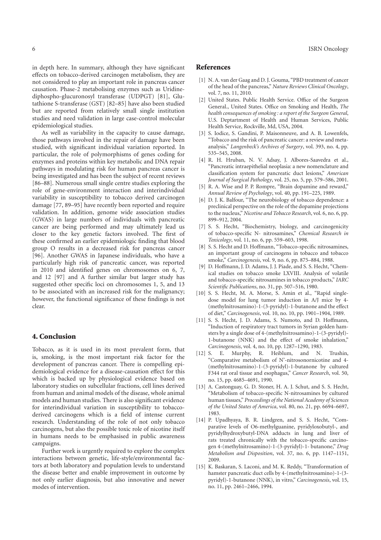in depth here. In summary, although they have significant effects on tobacco-derived carcinogen metabolism, they are not considered to play an important role in pancreas cancer causation. Phase-2 metabolising enzymes such as Uridinediphospho-glucuronosyl transferase (UDPGT) [81], Glutathione S-transferase (GST) [82–85] have also been studied but are reported from relatively small single institution studies and need validation in large case-control molecular epidemiological studies.

As well as variability in the capacity to cause damage, those pathways involved in the repair of damage have been studied, with significant individual variation reported. In particular, the role of polymorphisms of genes coding for enzymes and proteins within key metabolic and DNA repair pathways in modulating risk for human pancreas cancer is being investigated and has been the subject of recent reviews [86–88]. Numerous small single centre studies exploring the role of gene-environment interaction and interindividual variability in susceptibility to tobacco derived carcinogen damage [77, 89–95] have recently been reported and require validation. In addition, genome wide association studies (GWAS) in large numbers of individuals with pancreatic cancer are being performed and may ultimately lead us closer to the key genetic factors involved. The first of these confirmed an earlier epidemiologic finding that blood group O results in a decreased risk for pancreas cancer [96]. Another GWAS in Japanese individuals, who have a particularly high risk of pancreatic cancer, was reported in 2010 and identified genes on chromosomes on 6, 7, and 12 [97] and A further similar but larger study has suggested other specific loci on chromosomes 1, 5, and 13 to be associated with an increased risk for the malignancy; however, the functional significance of these findings is not clear.

#### 4. Conclusion

Tobacco, as it is used in its most prevalent form, that is, smoking, is the most important risk factor for the development of pancreas cancer. There is compelling epidemiological evidence for a disease-causation effect for this which is backed up by physiological evidence based on laboratory studies on subcellular fractions, cell lines derived from human and animal models of the disease, whole animal models and human studies. There is also significant evidence for interindividual variation in susceptibility to tobaccoderived carcinogens which is a field of intense current research. Understanding of the role of not only tobacco carcinogens, but also the possible toxic role of nicotine itself in humans needs to be emphasised in public awareness campaigns.

Further work is urgently required to explore the complex interactions between genetic, life-style/environmental factors at both laboratory and population levels to understand the disease better and enable improvement in outcome by not only earlier diagnosis, but also innovative and newer modes of intervention.

#### 6 ISRN Oncology

#### References

- [1] N. A. van der Gaag and D. J. Gouma, "PBD treatment of cancer of the head of the pancreas," *Nature Reviews Clinical Oncology*, vol. 7, no. 11, 2010.
- [2] United States. Public Health Service. Office of the Surgeon General., United States. Office on Smoking and Health, *The health consequences of smoking : a report of the Surgeon General*, U.S. Deptartment of Health and Human Services, Public Health Service, Rockville, Md, USA, 2004.
- [3] S. Iodice, S. Gandini, P. Maisonneuve, and A. B. Lowenfels, "Tobacco and the risk of pancreatic cancer: a review and metaanalysis," *Langenbeck's Archives of Surgery*, vol. 393, no. 4, pp. 535–545, 2008.
- [4] R. H. Hruban, N. V. Adsay, J. Albores-Saavedra et al., "Pancreatic intraepithelial neoplasia: a new nomenclature and classification system for pancreatic duct lesions," *American Journal of Surgical Pathology*, vol. 25, no. 5, pp. 579–586, 2001.
- [5] R. A. Wise and P. P. Rompre, "Brain dopamine and reward," *Annual Review of Psychology*, vol. 40, pp. 191–225, 1989.
- [6] D. J. K. Balfour, "The neurobiology of tobacco dependence: a preclinical perspective on the role of the dopamine projections to the nucleus," *Nicotine and Tobacco Research*, vol. 6, no. 6, pp. 899–912, 2004.
- [7] S. S. Hecht, "Biochemistry, biology, and carcinogenicity of tobacco-specific N- nitrosamines," *Chemical Research in Toxicology*, vol. 11, no. 6, pp. 559–603, 1998.
- [8] S. S. Hecht and D. Hoffmann, "Tobacco-specific nitrosamines, an important group of carcinogens in tobacco and tobacco smoke," *Carcinogenesis*, vol. 9, no. 6, pp. 875–884, 1988.
- D. Hoffmann, J. D. Adams, J. J. Piade, and S. S. Hecht, "Chemical studies on tobacco smoke LXVIII. Analysis of volatile and tobacco-specific nitrosamines in tobacco products," *IARC Scientific Publications*, no. 31, pp. 507–516, 1980.
- [10] S. S. Hecht, M. A. Morse, S. Amin et al., "Rapid singledose model for lung tumor induction in A/J mice by 4- (methylnitrosamino)-1-(3-pyridyl)-1-butanone and the effect of diet," *Carcinogenesis*, vol. 10, no. 10, pp. 1901–1904, 1989.
- [11] S. S. Hecht, J. D. Adams, S. Numoto, and D. Hoffmann, "Induction of respiratory tract tumors in Syrian golden hamsters by a single dose of 4-(methylnitrosamino)-1-(3-pyridyl)- 1-butanone (NNK) and the effect of smoke inhalation," *Carcinogenesis*, vol. 4, no. 10, pp. 1287–1290, 1983.
- [12] S. E. Murphy, R. Heiblum, and N. Trushin, "Comparative metabolism of N'-nitrosonornicotine and 4- (methylnitrosamino)-1-(3-pyridyl)-1-butanone by cultured F344 rat oral tissue and esophagus," *Cancer Research*, vol. 50, no. 15, pp. 4685–4691, 1990.
- [13] A. Castonguay, G. D. Stoner, H. A. J. Schut, and S. S. Hecht, "Metabolism of tobacco-specific N-nitrosamines by cultured human tissues," *Proceedings of the National Academy of Sciences of the United States of America*, vol. 80, no. 21, pp. 6694–6697, 1983.
- [14] P. Upadhyaya, B. R. Lindgren, and S. S. Hecht, "Comparative levels of O6-methylguanine, pyridyloxobutyl-, and pyridylhydroxybutyl-DNA adducts in lung and liver of rats treated chronically with the tobacco-specific carcinogen 4-(methylnitrosamino)-1-(3-pyridyl)-1- butanone," *Drug Metabolism and Disposition*, vol. 37, no. 6, pp. 1147–1151, 2009.
- [15] K. Baskaran, S. Laconi, and M. K. Reddy, "Transformation of hamster pancreatic duct cells by 4-(methylnitrosamino)-1-(3 pyridyl)-1-butanone (NNK), in vitro," *Carcinogenesis*, vol. 15, no. 11, pp. 2461–2466, 1994.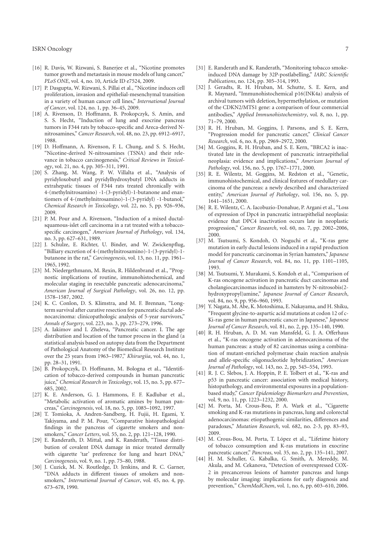- [16] R. Davis, W. Rizwani, S. Banerjee et al., "Nicotine promotes tumor growth and metastasis in mouse models of lung cancer," *PLoS ONE*, vol. 4, no. 10, Article ID e7524, 2009.
- [17] P. Dasgupta, W. Rizwani, S. Pillai et al., "Nicotine induces cell proliferation, invasion and epithelial-mesenchymal transition in a variety of human cancer cell lines," *International Journal of Cancer*, vol. 124, no. 1, pp. 36–45, 2009.
- [18] A. Rivenson, D. Hoffmann, B. Prokopczyk, S. Amin, and S. S. Hecht, "Induction of lung and exocrine pancreas tumors in F344 rats by tobacco-specific and Areca-derived Nnitrosamines," *Cancer Research*, vol. 48, no. 23, pp. 6912–6917, 1988.
- [19] D. Hoffmann, A. Rivenson, F. L. Chung, and S. S. Hecht, "Nicotine-derived N-nitrosamines (TSNA) and their relevance in tobacco carcinogenesis," *Critical Reviews in Toxicology*, vol. 21, no. 4, pp. 305–311, 1991.
- [20] S. Zhang, M. Wang, P. W. Villalta et al., "Analysis of pyridyloxobutyl and pyridylhydroxybutyl DNA adducts in extrahepatic tissues of F344 rats treated chronically with 4-(methylnitrosamino) -1-(3-pyridyl)-1-butanone and enantiomers of 4-(methylnitrosamino)-1-(3-pyridyl) -1-butanol," *Chemical Research in Toxicology*, vol. 22, no. 5, pp. 926–936, 2009.
- [21] P. M. Pour and A. Rivenson, "Induction of a mixed ductalsquamous-islet cell carcinoma in a rat treated with a tobaccospecific carcinogen," *American Journal of Pathology*, vol. 134, no. 3, pp. 627–631, 1989.
- [22] J. Schulze, E. Richter, U. Binder, and W. Zwickenpflug, "Billiary excretion of 4-(methylnitrosamino)-1-(3-pyridyl)-1 butanone in the rat," *Carcinogenesis*, vol. 13, no. 11, pp. 1961– 1965, 1992.
- [23] M. Niedergethmann, M. Rexin, R. Hildenbrand et al., "Prognostic implications of routine, immunohistochemical, and molecular staging in resectable pancreatic adenocarcinoma," *American Journal of Surgical Pathology*, vol. 26, no. 12, pp. 1578–1587, 2002.
- [24] K. C. Conlon, D. S. Klimstra, and M. F. Brennan, "Longterm survival after curative resection for pancreatic ductal adenocarcinoma: clinicopathologic analysis of 5-year survivors," *Annals of Surgery*, vol. 223, no. 3, pp. 273–279, 1996.
- [25] A. Iakimov and I. Zheleva, "Pancreatic cancer. I. The age distribution and location of the tumor process in the gland (a statistical analysis based on autopsy data from the Department of Pathological Anatomy of the Biomedical Research Institute over the 25 years from 1963–1987," *Khirurgiia*, vol. 44, no. 1, pp. 28–31, 1991.
- [26] B. Prokopczyk, D. Hoffmann, M. Bologna et al., "Identification of tobacco-derived compounds in human pancreatic juice," *Chemical Research in Toxicology*, vol. 15, no. 5, pp. 677– 685, 2002.
- [27] K. E. Anderson, G. J. Hammons, F. F. Kadlubar et al., "Metabolic activation of aromatic amines by human pancreas," *Carcinogenesis*, vol. 18, no. 5, pp. 1085–1092, 1997.
- [28] T. Tomioka, A. Andren-Sandberg, H. Fujii, H. Egami, Y. Takiyama, and P. M. Pour, "Comparative histopathological findings in the pancreas of cigarette smokers and nonsmokers," *Cancer Letters*, vol. 55, no. 2, pp. 121–128, 1990.
- [29] E. Randerath, D. Mittal, and K. Randerath, "Tissue distribution of covalent DNA damage in mice treated dermally with cigarette 'tar' preference for lung and heart DNA," *Carcinogenesis*, vol. 9, no. 1, pp. 75–80, 1988.
- [30] J. Cuzick, M. N. Routledge, D. Jenkins, and R. C. Garner, "DNA adducts in different tissues of smokers and nonsmokers," *International Journal of Cancer*, vol. 45, no. 4, pp. 673–678, 1990.
- [31] E. Randerath and K. Randerath, "Monitoring tobacco smokeinduced DNA damage by 32P-postlabelling," *IARC Scientific Publications*, no. 124, pp. 305–314, 1993.
- [32] J. Geradts, R. H. Hruban, M. Schutte, S. E. Kern, and R. Maynard, "Immunohistochemical p16(INK4a) analysis of archival tumors with deletion, hypermethylation, or mutation of the CDKN2/MTS1 gene: a comparison of four commercial antibodies," *Applied Immunohistochemistry*, vol. 8, no. 1, pp. 71–79, 2000.
- [33] R. H. Hruban, M. Goggins, J. Parsons, and S. E. Kern, "Progression model for pancreatic cancer," *Clinical Cancer Research*, vol. 6, no. 8, pp. 2969–2972, 2000.
- [34] M. Goggins, R. H. Hruban, and S. E. Kern, "BRCA2 is inactivated late in the development of pancreatic intraepithelial neoplasia: evidence and implications," *American Journal of Pathology*, vol. 156, no. 5, pp. 1767–1771, 2000.
- [35] R. E. Wilentz, M. Goggins, M. Redston et al., "Genetic, immunohistochemical, and clinical features of medullary carcinoma of the pancreas: a newly described and characterized entity," *American Journal of Pathology*, vol. 156, no. 5, pp. 1641–1651, 2000.
- [36] R. E. Wilentz, C. A. Iacobuzio-Donahue, P. Argani et al., "Loss of expression of Dpc4 in pancreatic intraepithelial neoplasia: evidence that DPC4 inactivation occurs late in neoplastic progression," *Cancer Research*, vol. 60, no. 7, pp. 2002–2006, 2000.
- [37] M. Tsutsumi, S. Kondoh, O. Noguchi et al., "K-ras gene mutation in early ductal lesions induced in a rapid production model for pancreatic carcinomas in Syrian hamsters," *Japanese Journal of Cancer Research*, vol. 84, no. 11, pp. 1101–1105, 1993.
- [38] M. Tsutsumi, Y. Murakami, S. Kondoh et al., "Comparison of K-ras oncogene activation in pancreatic duct carcinomas and cholangiocarcinomas induced in hamsters by N-nitrosobis(2 hydroxypropyl)amine," *Japanese Journal of Cancer Research*, vol. 84, no. 9, pp. 956–960, 1993.
- [39] Y. Nagata, M. Abe, K. Motoshima, E. Nakayama, and H. Shiku, "Frequent glycine-to-aspartic acid mutations at codon 12 of c-Ki-ras gene in human pancreatic cancer in Japanese," *Japanese Journal of Cancer Research*, vol. 81, no. 2, pp. 135–140, 1990.
- [40] R. H. Hruban, A. D. M. van Mansfeld, G. J. A. Offerhaus et al., "K-ras oncogene activation in adenocarcinoma of the human pancreas: a study of 82 carcinomas using a combination of mutant-enriched polymerase chain reaction analysis and allele-specific oligonucleotide hybridization," *American Journal of Pathology*, vol. 143, no. 2, pp. 545–554, 1993.
- [41] R. J. C. Slebos, J. A. Hoppin, P. E. Tolbert et al., "K-ras and p53 in pancreatic cancer: association with medical history, histopathology, and environmental exposures in a populationbased study," *Cancer Epidemiology Biomarkers and Prevention*, vol. 9, no. 11, pp. 1223–1232, 2000.
- [42] M. Porta, M. Crous-Bou, P. A. Wark et al., "Cigarette smoking and K-ras mutations in pancreas, lung and colorectal adenocarcinomas: etiopathogenic similarities, differences and paradoxes," *Mutation Research*, vol. 682, no. 2-3, pp. 83–93, 2009.
- [43] M. Crous-Bou, M. Porta, T. López et al., "Lifetime history of tobacco consumption and K-ras mutations in exocrine pancreatic cancer," *Pancreas*, vol. 35, no. 2, pp. 135–141, 2007.
- [44] H. M. Schuller, G. Kabalka, G. Smith, A. Mereddy, M. Akula, and M. Cekanova, "Detection of overexpressed COX-2 in precancerous lesions of hamster pancreas and lungs by molecular imaging: implications for early diagnosis and prevention," *ChemMedChem*, vol. 1, no. 6, pp. 603–610, 2006.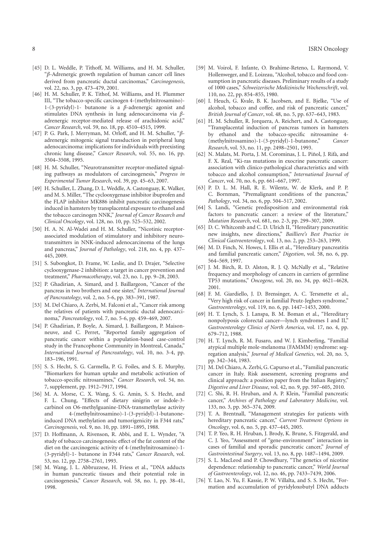- [45] D. L. Weddle, P. Tithoff, M. Williams, and H. M. Schuller, "*β*-Adrenergic growth regulation of human cancer cell lines derived from pancreatic ductal carcinomas," *Carcinogenesis*, vol. 22, no. 3, pp. 473–479, 2001.
- [46] H. M. Schuller, P. K. Tithof, M. Williams, and H. Plummer III, "The tobacco-specific carcinogen 4-(methylnitrosamino)- 1-(3-pyridyl)-1- butanone is a *β*-adrenergic agonist and stimulates DNA synthesis in lung adenocarcinoma via *β*adrenergic receptor-mediated release of arachidonic acid," *Cancer Research*, vol. 59, no. 18, pp. 4510–4515, 1999.
- [47] P. G. Park, J. Merryman, M. Orloff, and H. M. Schuller, "*β*adrenergic mitogenic signal transduction in peripheral lung adenocarcinoma: implications for individuals with preexisting chronic lung disease," *Cancer Research*, vol. 55, no. 16, pp. 3504–3508, 1995.
- [48] H. M. Schuller, "Neurotransmitter receptor-mediated signaling pathways as modulators of carcinogenesis," *Progress in Experimental Tumor Research*, vol. 39, pp. 45–63, 2007.
- [49] H. Schuller, L. Zhang, D. L. Weddle, A. Castonguay, K. Walker, and M. S. Miller, "The cyclooxygenase inhibitor ibuprofen and the FLAP inhibitor MK886 inhibit pancreatic carcinogenesis induced in hamsters by transplacental exposure to ethanol and the tobacco carcinogen NNK," *Journal of Cancer Research and Clinical Oncology*, vol. 128, no. 10, pp. 525–532, 2002.
- [50] H. A. N. Al-Wadei and H. M. Schuller, "Nicotinic receptorassociated modulation of stimulatory and inhibitory neurotransmitters in NNK-induced adenocarcinoma of the lungs and pancreas," *Journal of Pathology*, vol. 218, no. 4, pp. 437– 445, 2009.
- [51] S. Subongkot, D. Frame, W. Leslie, and D. Drajer, "Selective cyclooxygenase-2 inhibition: a target in cancer prevention and treatment," *Pharmacotherapy*, vol. 23, no. 1, pp. 9–28, 2003.
- [52] P. Ghadirian, A. Simard, and J. Baillargeon, "Cancer of the pancreas in two brothers and one sister," *International Journal of Pancreatology*, vol. 2, no. 5-6, pp. 383–391, 1987.
- [53] M. Del Chiaro, A. Zerbi, M. Falconi et al., "Cancer risk among the relatives of patients with pancreatic ductal adenocarcinoma," *Pancreatology*, vol. 7, no. 5-6, pp. 459–469, 2007.
- [54] P. Ghadirian, P. Boyle, A. Simard, J. Baillargeon, P. Maisonneuve, and C. Perret, "Reported family aggregation of pancreatic cancer within a population-based case-control study in the Francophone Community in Montreal, Canada," *International Journal of Pancreatology*, vol. 10, no. 3-4, pp. 183–196, 1991.
- [55] S. S. Hecht, S. G. Carmella, P. G. Foiles, and S. E. Murphy, "Biomarkers for human uptake and metabolic activation of tobacco-specific nitrosamines," *Cancer Research*, vol. 54, no. 7, supplement, pp. 1912–7917, 1994.
- [56] M. A. Morse, C. X. Wang, S. G. Amin, S. S. Hecht, and F. L. Chung, "Effects of dietary sinigrin or indole-3 carbinol on O6-methylguanine-DNA-transmethylase activity and 4-(methylnitrosamino)-1-(3-pyridyl)-1-butanoneinduced DNA methylation and tumorigenicity in F344 rats," *Carcinogenesis*, vol. 9, no. 10, pp. 1891–1895, 1988.
- [57] D. Hoffmann, A. Rivenson, R. Abbi, and E. L. Wynder, "A study of tobacco carcinogenesis: effect of the fat content of the diet on the carcinogenic activity of 4-(methylnitrosamino)-1- (3-pyridyl)-1- butanone in F344 rats," *Cancer Research*, vol. 53, no. 12, pp. 2758–2761, 1993.
- [58] M. Wang, J. L. Abbruzzese, H. Friess et al., "DNA adducts in human pancreatic tissues and their potential role in carcinogenesis," *Cancer Research*, vol. 58, no. 1, pp. 38–41, 1998.
- [59] M. Voirol, F. Infante, O. Brahime-Reteno, L. Raymond, V. Hollenweger, and E. Loizeau, "Alcohol, tobacco and food consumption in pancreatic diseases. Preliminary results of a study of 1000 cases," *Schweizerische Medizinische Wochenschrift*, vol. 110, no. 22, pp. 854–855, 1980.
- [60] I. Heuch, G. Kvale, B. K. Jacobsen, and E. Bjelke, "Use of alcohol, tobacco and coffee, and risk of pancreatic cancer," *British Journal of Cancer*, vol. 48, no. 5, pp. 637–643, 1983.
- [61] H. M. Schuller, R. Jorquera, A. Reichert, and A. Castonguay, "Transplacental induction of pancreas tumors in hamsters by ethanol and the tobacco-specific nitrosamine 4- (methylnitrosamino)-1-(3-pyridyl)-1-butanone," *Cancer Research*, vol. 53, no. 11, pp. 2498–2501, 1993.
- [62] N. Malats, M. Porta, J. M. Corominas, J. L. Piñol, J. Rifà, and F. X. Real, "Ki-ras mutations in exocrine pancreatic cancer: association with clinico-pathological characteristics and with tobacco and alcohol consumption," *International Journal of Cancer*, vol. 70, no. 6, pp. 661–667, 1997.
- [63] P. D. L. M. Hall, R. E. Wilentz, W. de Klerk, and P. P. C. Bornman, "Premalignant conditions of the pancreas," *Pathology*, vol. 34, no. 6, pp. 504–517, 2002.
- [64] S. Landi, "Genetic predisposition and environmental risk factors to pancreatic cancer: a review of the literature," *Mutation Research*, vol. 681, no. 2-3, pp. 299–307, 2009.
- [65] D. C. Whitcomb and C. D. Ulrich II, "Hereditary pancreatitis: new insights, new directions," *Bailliere's Best Practice in Clinical Gastroenterology*, vol. 13, no. 2, pp. 253–263, 1999.
- [66] M. D. Finch, N. Howes, I. Ellis et al., "Hereditary pancreatitis and familial pancreatic cancer," *Digestion*, vol. 58, no. 6, pp. 564–569, 1997.
- [67] J. M. Birch, R. D. Alston, R. J. Q. McNally et al., "Relative frequency and morphology of cancers in carriers of germline TP53 mutations," *Oncogene*, vol. 20, no. 34, pp. 4621–4628, 2001.
- [68] F. M. Giardiello, J. D. Brensinger, A. C. Tersmette et al., "Very high risk of cancer in familial Peutz-Jeghers syndrome," *Gastroenterology*, vol. 119, no. 6, pp. 1447–1453, 2000.
- [69] H. T. Lynch, S. J. Lanspa, B. M. Boman et al., "Hereditary nonpolyposis colorectal cancer—lynch syndromes I and II," *Gastroenterology Clinics of North America*, vol. 17, no. 4, pp. 679–712, 1988.
- [70] H. T. Lynch, R. M. Fusaro, and W. J. Kimberling, "Familial atypical multiple mole-melanoma (FAMMM) syndrome: segregation analysis," *Journal of Medical Genetics*, vol. 20, no. 5, pp. 342–344, 1983.
- [71] M. Del Chiaro, A. Zerbi, G. Capurso et al., "Familial pancreatic cancer in Italy. Risk assessment, screening programs and clinical approach: a position paper from the Italian Registry," *Digestive and Liver Disease*, vol. 42, no. 9, pp. 597–605, 2010.
- [72] C. Shi, R. H. Hruban, and A. P. Klein, "Familial pancreatic cancer," *Archives of Pathology and Laboratory Medicine*, vol. 133, no. 3, pp. 365–374, 2009.
- [73] T. A. Brentnall, "Management strategies for patients with hereditary pancreatic cancer," *Current Treatment Options in Oncology*, vol. 6, no. 5, pp. 437–445, 2005.
- [74] T. P. Yeo, R. H. Hruban, J. Brody, K. Brune, S. Fitzgerald, and C. J. Yeo, "Assessment of "gene-environment" interaction in cases of familial and sporadic pancreatic cancer," *Journal of Gastrointestinal Surgery*, vol. 13, no. 8, pp. 1487–1494, 2009.
- [75] S. L. MacLeod and P. Chowdhury, "The genetics of nicotine dependence: relationship to pancreatic cancer," *World Journal of Gastroenterology*, vol. 12, no. 46, pp. 7433–7439, 2006.
- [76] Y. Lao, N. Yu, F. Kassie, P. W. Villalta, and S. S. Hecht, "Formation and accumulation of pyridyloxobutyl DNA adducts